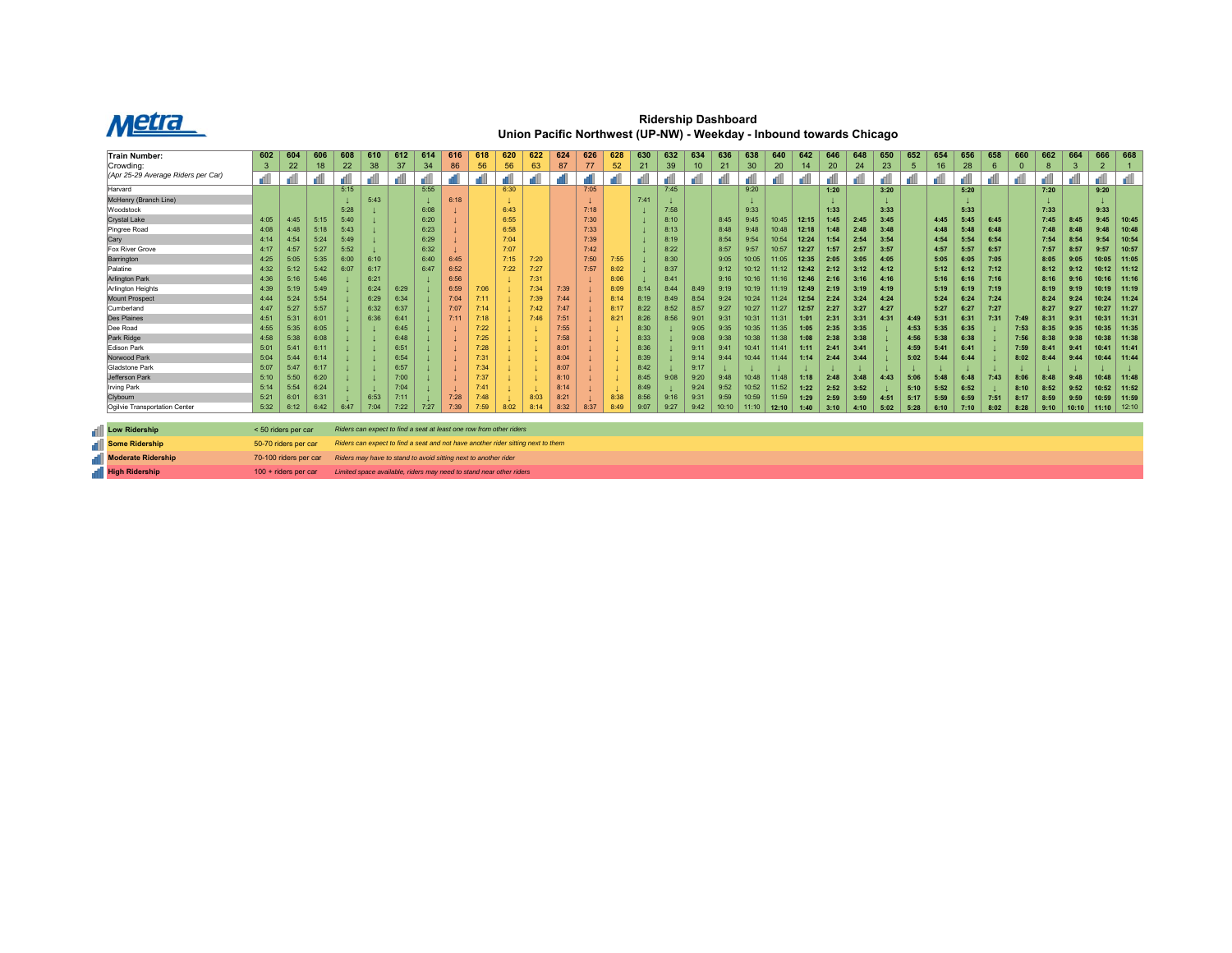

**Ridership Dashboard Union Pacific Northwest (UP-NW) - Weekday - Inbound towards Chicago**

| <b>Train Number:</b>                 | 602                                                                                                      | 604  | 606  | 608  | 610  | 612  | 614                                                                 | 616  | 618  | 620  | 622  | 624  | 626  | 628  | 630  | 632  | 634             | 636   | 638            | 640   | 642   | 646  | 648  | 650  | 652  | 654  | 656  | 658  | 660         | 662  | 664   | 666            | 668   |
|--------------------------------------|----------------------------------------------------------------------------------------------------------|------|------|------|------|------|---------------------------------------------------------------------|------|------|------|------|------|------|------|------|------|-----------------|-------|----------------|-------|-------|------|------|------|------|------|------|------|-------------|------|-------|----------------|-------|
| Crowdina:                            | 3                                                                                                        | 22   | 18   | 22   | 38   | 37   | 34                                                                  | 86   | 56   | 56   | 63   | 87   | 77   | 52   | 21   | 39   | 10 <sup>°</sup> | 21    | 30             | 20    | 14    | 20   | 24   | 23   | -5   | 16   | 28   | 6    | $\mathbf 0$ | 8    |       | $\overline{2}$ |       |
| (Apr 25-29 Average Riders per Car)   |                                                                                                          |      |      |      |      |      |                                                                     |      |      |      |      |      |      |      |      |      |                 |       |                |       |       |      |      |      |      |      |      |      |             |      |       |                | all   |
| Harvard                              |                                                                                                          |      |      | 5:15 |      |      | 5:55                                                                |      |      | 6:30 |      |      | 7:05 |      |      | 7:45 |                 |       | 9:20           |       |       | 1:20 |      | 3:20 |      |      | 5:20 |      |             | 7:20 |       | 9:20           |       |
| McHenry (Branch Line)                |                                                                                                          |      |      |      | 5:43 |      |                                                                     | 6:18 |      |      |      |      |      |      | 7:41 |      |                 |       |                |       |       |      |      |      |      |      |      |      |             |      |       |                |       |
| Woodstock                            |                                                                                                          |      |      | 5:28 |      |      | 6:08                                                                |      |      | 6:43 |      |      | 7:18 |      |      | 7:58 |                 |       | 9:33           |       |       | 1:33 |      | 3:33 |      |      | 5:33 |      |             | 7:33 |       | 9:33           |       |
| Crystal Lake                         | 4:05                                                                                                     | 4:45 | 5:15 | 5:40 |      |      | 6:20                                                                |      |      | 6:55 |      |      | 7:30 |      |      | 8:10 |                 | 8:45  | 9:45           | 10:45 | 12:15 | 1:45 | 2:45 | 3:45 |      | 4:45 | 5:45 | 6:45 |             | 7:45 | 8:45  | 9:45           | 10:45 |
| Pingree Road                         | 4:08                                                                                                     | 4:48 | 5:18 | 5:43 |      |      | 6:23                                                                |      |      | 6:58 |      |      | 7:33 |      |      | 8:13 |                 | 8:48  | 9:48           | 10:48 | 12:18 | 1:48 | 2:48 | 3:48 |      | 4:48 | 5:48 | 6:48 |             | 7:48 | 8:48  | 9:48           | 10:48 |
| Cary                                 | 4:14                                                                                                     | 4:54 | 5:24 | 5:49 |      |      | 6:29                                                                |      |      | 7:04 |      |      | 7:39 |      |      | 8:19 |                 | 8:54  | 9:54           | 10:54 | 12:24 | 1:54 | 2:54 | 3:54 |      | 4:54 | 5:54 | 6:54 |             | 7:54 |       | 9:54           | 10:54 |
| <b>Fox River Grove</b>               | 4:17                                                                                                     | 4:57 | 5:27 | 5:52 |      |      | 6:32                                                                |      |      | 7:07 |      |      | 7:42 |      |      | 8:22 |                 | 8:57  | 9:57           | 10:57 | 12:27 | 1:57 | 2:57 | 3:57 |      | 4:57 | 5:57 | 6:57 |             | 7:57 | 8:57  | 9:57           | 10:57 |
| Barrington                           | 4:25                                                                                                     | 5:05 | 5:35 | 6:00 | 6:10 |      | 6:40                                                                | 6:45 |      | 7:15 | 7:20 |      | 7:50 | 7:55 |      | 8:30 |                 | 9:05  | 10:05          | 11:05 | 12:35 | 2:05 | 3:05 | 4:05 |      | 5:05 | 6:05 | 7:05 |             | 8:05 | 9:05  | 10:05          | 11:05 |
| Palatine                             | 4:32                                                                                                     | 5:12 | 5:42 | 6:07 | 6:17 |      | 6:47                                                                | 6:52 |      | 7:22 | 7:27 |      | 7:57 | 8:02 |      | 8:37 |                 | 9:12  | 10:12          |       | 12:42 | 2:12 | 3:12 | 4:12 |      | 5:12 | 6:12 | 7:12 |             | 8:12 | 9:12  | 10:12          | 11:12 |
| <b>Arlington Park</b>                | 4:36                                                                                                     | 5:16 | 5:46 |      | 6:21 |      |                                                                     | 6:56 |      |      | 7:31 |      |      | 8:06 |      | 8:41 |                 | 9:16  | 10:16          |       | 12:46 | 2:16 | 3:16 | 4:16 |      | 5:16 | 6:16 | 7:16 |             | 8:16 |       | 10:16          | 11:16 |
| Arlington Heights                    | 4:39                                                                                                     | 5:19 | 5:49 |      | 6:24 | 6:29 |                                                                     | 6:59 | 7:06 |      | 7:34 | 7:39 |      | 8:09 | 8:14 | 8:44 | 8:49            | 9:19  | 10:19          | 11:19 | 12:49 | 2:19 | 3:19 | 4:19 |      | 5:19 | 6:19 | 7:19 |             | 8:19 | 9:19  | 10:19          | 11:19 |
| Mount Prospect                       | 4:44                                                                                                     | 5:24 | 5:54 |      | 6:29 | 6:34 |                                                                     | 7:04 |      |      | 7:39 | 7:44 |      | 8:14 | 8:19 | 8:49 | 8:54            | 9:24  | 10:24          | 11:24 | 12:54 | 2:24 | 3:24 | 4:24 |      | 5:24 | 6:24 | 7:24 |             | 8:24 | 9:24  | 10:24          | 11:24 |
| Cumberland                           | 4:47                                                                                                     | 5:27 | 5:57 |      | 6:32 | 6:37 |                                                                     | 7:07 |      |      | 7:42 | 7:47 |      | 8:17 | 8:22 | 8:52 | 8:57            | 9:27  | 10:27          | 11:27 | 12:57 | 2:27 | 3:27 | 4:27 |      | 5:27 | 6:27 | 7:27 |             | 8:27 | 9:27  | 10:27          | 11:27 |
| <b>Des Plaines</b>                   | 4:51                                                                                                     | 5:31 | 6:01 |      | 6:36 | 6:41 |                                                                     | 7:11 |      |      | 7:46 | 7:51 |      | 8:21 | 8:26 | 8:56 | 9:01            | 9:31  | $10:3^{\circ}$ | 11:31 | 1:01  | 2:31 | 3:31 | 4:31 | 4:49 | 5:31 | 6:31 | 7:31 | 7:49        | 8:31 | 9:31  | 10:31          | 11:31 |
| Dee Road                             | 4:55                                                                                                     | 5:35 | 6:05 |      |      | 6:45 |                                                                     |      | 7:22 |      |      | 7:55 |      |      | 8:30 |      | 9:05            | 9:35  | 10:35          | 11:35 | 1:05  | 2:35 | 3:35 |      | 4:53 | 5:35 | 6:35 |      | 7:53        | 8:35 | 9:35  | 10:35          | 11:35 |
| Park Ridge                           | 4:58                                                                                                     | 5:38 | 6:08 |      |      | 6:48 |                                                                     |      | 7:25 |      |      | 7:58 |      |      | 8:33 |      | 9:08            | 9:38  | 10:38          | 11:38 | 1:08  | 2:38 | 3:38 |      | 4:56 | 5:38 | 6:38 |      | 7:56        | 8:38 | 9:38  | 10:38          | 11:38 |
| Edison Park                          | 5:01                                                                                                     | 5:41 | 6:11 |      |      | 6:51 |                                                                     |      | 7:28 |      |      | 8:01 |      |      | 8:36 |      | 9:11            | 9:41  | 10:4           | 11:4' | 1:11  | 2:41 | 3:41 |      | 4:59 | 5:41 | 6:41 |      | 7:59        | 8:41 | 9:41  | 10:41          | 11:41 |
| Norwood Park                         | 5:04                                                                                                     | 5:44 | 6:14 |      |      | 6:54 |                                                                     |      | 7:31 |      |      | 8:04 |      |      | 8:39 |      | 9:14            | 9:44  | 10:44          | 11:44 | 1:14  | 2:44 | 3:44 |      | 5:02 | 5:44 | 6:44 |      | 8:02        | 8:44 | 9:44  | 10:44          | 11:44 |
| Gladstone Park                       | 5:07                                                                                                     | 5:47 | 6:17 |      |      | 6:57 |                                                                     |      |      |      |      | 8:07 |      |      | 8:42 |      | 9:17            |       |                |       |       |      |      |      |      |      |      |      |             |      |       |                |       |
| Jefferson Park                       | 5:10                                                                                                     | 5:50 | 6:20 |      |      | 7:00 |                                                                     |      |      |      |      | 8:10 |      |      | 8:45 | 9:08 | 9:20            | 9:48  | 10:48          | 11:48 | 1:18  | 2:48 | 3:48 | 4:43 | 5:06 | 5:48 | 6:48 | 7:43 | 8:06        | 8:48 | 9:48  | 10:48          | 11:48 |
| Irving Park                          | 5:14                                                                                                     | 5:54 | 6:24 |      |      | 7:04 |                                                                     |      |      |      |      | 8:14 |      |      | 8:49 |      | 9:24            | 9:52  | 10:52          | 11:52 | 1:22  | 2:52 | 3:52 |      | 5:10 | 5:52 | 6:52 |      | 8:10        | 8:52 | 9:52  | 10:52          | 11:52 |
| Clybourn                             | 5:21                                                                                                     | 6:01 | 6:31 |      | 6:53 | 7:11 |                                                                     | 7:28 | 7.48 |      | 8:03 | 8:21 |      | 8:38 | 8:56 | 9:16 | 9:31            | 9:59  | 10:59          | 11:59 | 1:29  | 2:59 | 3:59 | 4:51 | 5:17 | 5:59 | 6:59 | 7:51 | 8:17        | 8:59 | 9:59  | 10:59          | 11:59 |
| <b>Oailvie Transportation Center</b> | 5:32                                                                                                     | 6:12 | 6:42 | 6:47 | 7:04 | 7:22 | 7:27                                                                | 7:39 | 7:59 | 8:02 | 8:14 | 8:32 | 8:37 | 8:49 | 9:07 | 9:27 | 9:42            | 10:10 | 11:10          | 12:10 | 1:40  | 3:10 | 4:10 | 5:02 | 5:28 | 6:10 | 7:10 | 8:02 | 8:28        | 9:10 | 10:10 | 11:10          | 12:10 |
|                                      |                                                                                                          |      |      |      |      |      |                                                                     |      |      |      |      |      |      |      |      |      |                 |       |                |       |       |      |      |      |      |      |      |      |             |      |       |                |       |
| <b>Low Ridership</b>                 | < 50 riders per car                                                                                      |      |      |      |      |      | Riders can expect to find a seat at least one row from other riders |      |      |      |      |      |      |      |      |      |                 |       |                |       |       |      |      |      |      |      |      |      |             |      |       |                |       |
| Some Ridership                       | 50-70 riders per car<br>Riders can expect to find a seat and not have another rider sitting next to them |      |      |      |      |      |                                                                     |      |      |      |      |      |      |      |      |      |                 |       |                |       |       |      |      |      |      |      |      |      |             |      |       |                |       |
| Moderate Ridership                   | 70-100 riders per car                                                                                    |      |      |      |      |      | Riders may have to stand to avoid sitting next to another rider     |      |      |      |      |      |      |      |      |      |                 |       |                |       |       |      |      |      |      |      |      |      |             |      |       |                |       |
| <b>High Ridership</b>                | 100 + riders per car                                                                                     |      |      |      |      |      | Limited space available, riders may need to stand near other riders |      |      |      |      |      |      |      |      |      |                 |       |                |       |       |      |      |      |      |      |      |      |             |      |       |                |       |